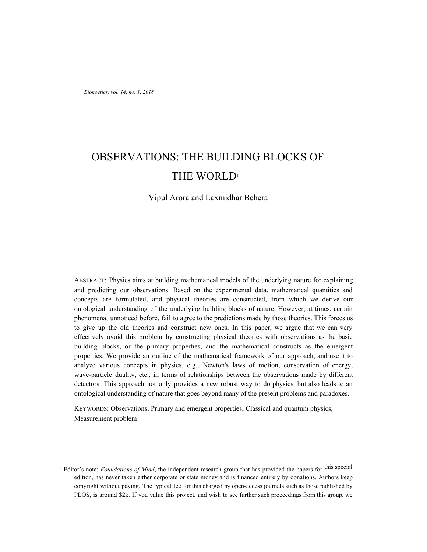# OBSERVATIONS: THE BUILDING BLOCKS OF THE WORLD<sup>1</sup>

## Vipul Arora and Laxmidhar Behera

ABSTRACT: Physics aims at building mathematical models of the underlying nature for explaining and predicting our observations. Based on the experimental data, mathematical quantities and concepts are formulated, and physical theories are constructed, from which we derive our ontological understanding of the underlying building blocks of nature. However, at times, certain phenomena, unnoticed before, fail to agree to the predictions made by those theories. This forces us to give up the old theories and construct new ones. In this paper, we argue that we can very effectively avoid this problem by constructing physical theories with observations as the basic building blocks, or the primary properties, and the mathematical constructs as the emergent properties. We provide an outline of the mathematical framework of our approach, and use it to analyze various concepts in physics, e.g., Newton's laws of motion, conservation of energy, wave-particle duality, etc., in terms of relationships between the observations made by different detectors. This approach not only provides a new robust way to do physics, but also leads to an ontological understanding of nature that goes beyond many of the present problems and paradoxes.

KEYWORDS: Observations; Primary and emergent properties; Classical and quantum physics; Measurement problem

<sup>&</sup>lt;sup>1</sup> Editor's note: *Foundations of Mind*, the independent research group that has provided the papers for this special edition, has never taken either corporate or state money and is financed entirely by donations. Authors keep copyright without paying. The typical fee for this charged by open-access journals such as those published by PLOS, is around \$2k. If you value this project, and wish to see further such proceedings from this group, we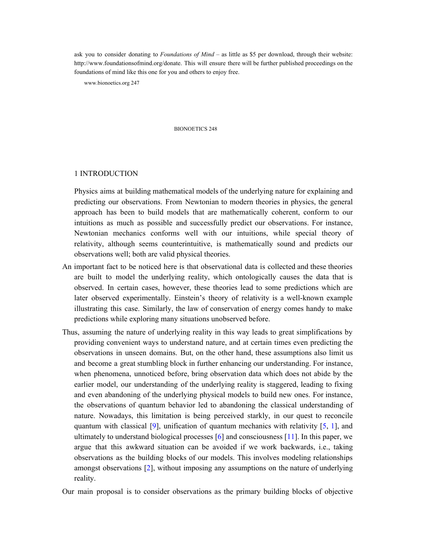ask you to consider donating to *Foundations of Mind* – as little as \$5 per download, through their website: http://www.foundationsofmind.org/donate. This will ensure there will be further published proceedings on the foundations of mind like this one for you and others to enjoy free.

www.bionoetics.org 247

#### BIONOETICS 248

## 1 INTRODUCTION

Physics aims at building mathematical models of the underlying nature for explaining and predicting our observations. From Newtonian to modern theories in physics, the general approach has been to build models that are mathematically coherent, conform to our intuitions as much as possible and successfully predict our observations. For instance, Newtonian mechanics conforms well with our intuitions, while special theory of relativity, although seems counterintuitive, is mathematically sound and predicts our observations well; both are valid physical theories.

- An important fact to be noticed here is that observational data is collected and these theories are built to model the underlying reality, which ontologically causes the data that is observed. In certain cases, however, these theories lead to some predictions which are later observed experimentally. Einstein's theory of relativity is a well-known example illustrating this case. Similarly, the law of conservation of energy comes handy to make predictions while exploring many situations unobserved before.
- Thus, assuming the nature of underlying reality in this way leads to great simplifications by providing convenient ways to understand nature, and at certain times even predicting the observations in unseen domains. But, on the other hand, these assumptions also limit us and become a great stumbling block in further enhancing our understanding. For instance, when phenomena, unnoticed before, bring observation data which does not abide by the earlier model, our understanding of the underlying reality is staggered, leading to fixing and even abandoning of the underlying physical models to build new ones. For instance, the observations of quantum behavior led to abandoning the classical understanding of nature. Nowadays, this limitation is being perceived starkly, in our quest to reconcile quantum with classical [9], unification of quantum mechanics with relativity [5, 1], and ultimately to understand biological processes [6] and consciousness [11]. In this paper, we argue that this awkward situation can be avoided if we work backwards, i.e., taking observations as the building blocks of our models. This involves modeling relationships amongst observations [2], without imposing any assumptions on the nature of underlying reality.

Our main proposal is to consider observations as the primary building blocks of objective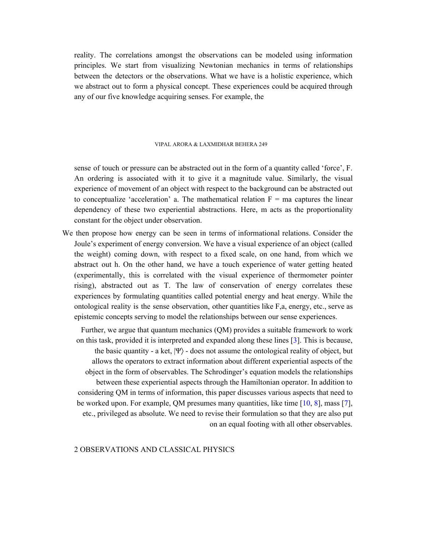reality. The correlations amongst the observations can be modeled using information principles. We start from visualizing Newtonian mechanics in terms of relationships between the detectors or the observations. What we have is a holistic experience, which we abstract out to form a physical concept. These experiences could be acquired through any of our five knowledge acquiring senses. For example, the

## VIPAL ARORA & LAXMIDHAR BEHERA 249

sense of touch or pressure can be abstracted out in the form of a quantity called 'force', F. An ordering is associated with it to give it a magnitude value. Similarly, the visual experience of movement of an object with respect to the background can be abstracted out to conceptualize 'acceleration' a. The mathematical relation  $F = ma$  captures the linear dependency of these two experiential abstractions. Here, m acts as the proportionality constant for the object under observation.

We then propose how energy can be seen in terms of informational relations. Consider the Joule's experiment of energy conversion. We have a visual experience of an object (called the weight) coming down, with respect to a fixed scale, on one hand, from which we abstract out h. On the other hand, we have a touch experience of water getting heated (experimentally, this is correlated with the visual experience of thermometer pointer rising), abstracted out as T. The law of conservation of energy correlates these experiences by formulating quantities called potential energy and heat energy. While the ontological reality is the sense observation, other quantities like F,a, energy, etc., serve as epistemic concepts serving to model the relationships between our sense experiences.

Further, we argue that quantum mechanics (QM) provides a suitable framework to work on this task, provided it is interpreted and expanded along these lines [3]. This is because, the basic quantity - a ket,  $|\Psi\rangle$  - does not assume the ontological reality of object, but allows the operators to extract information about different experiential aspects of the object in the form of observables. The Schrodinger's equation models the relationships between these experiential aspects through the Hamiltonian operator. In addition to considering QM in terms of information, this paper discusses various aspects that need to be worked upon. For example, QM presumes many quantities, like time [10, 8], mass [7], etc., privileged as absolute. We need to revise their formulation so that they are also put on an equal footing with all other observables.

# 2 OBSERVATIONS AND CLASSICAL PHYSICS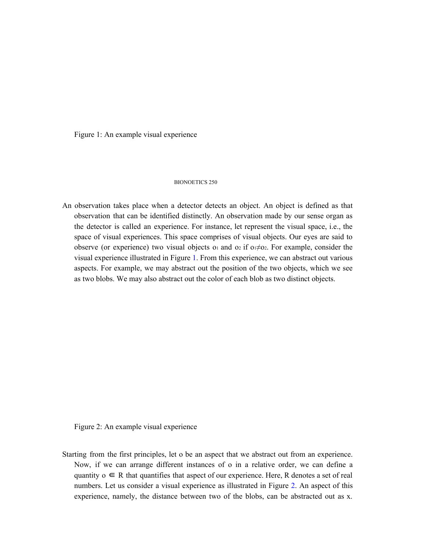Figure 1: An example visual experience

#### BIONOETICS 250

An observation takes place when a detector detects an object. An object is defined as that observation that can be identified distinctly. An observation made by our sense organ as the detector is called an experience. For instance, let represent the visual space, i.e., the space of visual experiences. This space comprises of visual objects. Our eyes are said to observe (or experience) two visual objects of and o2 if o $\neq$ o2. For example, consider the visual experience illustrated in Figure 1. From this experience, we can abstract out various aspects. For example, we may abstract out the position of the two objects, which we see as two blobs. We may also abstract out the color of each blob as two distinct objects.

Figure 2: An example visual experience

Starting from the first principles, let o be an aspect that we abstract out from an experience. Now, if we can arrange different instances of o in a relative order, we can define a quantity  $o \in R$  that quantifies that aspect of our experience. Here, R denotes a set of real numbers. Let us consider a visual experience as illustrated in Figure 2. An aspect of this experience, namely, the distance between two of the blobs, can be abstracted out as x.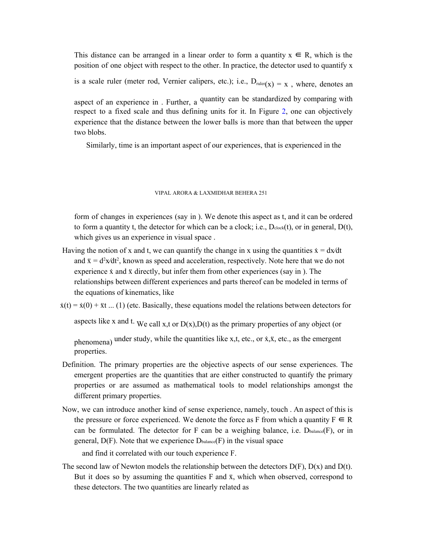This distance can be arranged in a linear order to form a quantity  $x \in R$ , which is the position of one object with respect to the other. In practice, the detector used to quantify x

is a scale ruler (meter rod, Vernier calipers, etc.); i.e.,  $D_{\text{ruler}(x)} = x$ , where, denotes an

aspect of an experience in . Further, a quantity can be standardized by comparing with respect to a fixed scale and thus defining units for it. In Figure 2, one can objectively experience that the distance between the lower balls is more than that between the upper two blobs.

Similarly, time is an important aspect of our experiences, that is experienced in the

#### VIPAL ARORA & LAXMIDHAR BEHERA 251

form of changes in experiences (say in ). We denote this aspect as t, and it can be ordered to form a quantity t, the detector for which can be a clock; i.e.,  $D_{clock}(t)$ , or in general,  $D(t)$ , which gives us an experience in visual space .

Having the notion of x and t, we can quantify the change in x using the quantities  $\dot{x} = dx/dt$ and  $\ddot{x} = d^2x/dt^2$ , known as speed and acceleration, respectively. Note here that we do not experience  $\dot{x}$  and  $\ddot{x}$  directly, but infer them from other experiences (say in ). The relationships between different experiences and parts thereof can be modeled in terms of the equations of kinematics, like

 $\dot{x}(t) = \dot{x}(0) + \ddot{x}t$  ... (1) (etc. Basically, these equations model the relations between detectors for

aspects like x and t. We call x,t or  $D(x)$ ,  $D(t)$  as the primary properties of any object (or

phenomena) under study, while the quantities like x,t, etc., or  $\dot{x}$ ,  $\dot{x}$ , etc., as the emergent properties.

- Definition. The primary properties are the objective aspects of our sense experiences. The emergent properties are the quantities that are either constructed to quantify the primary properties or are assumed as mathematical tools to model relationships amongst the different primary properties.
- Now, we can introduce another kind of sense experience, namely, touch . An aspect of this is the pressure or force experienced. We denote the force as F from which a quantity  $F \subseteq R$ can be formulated. The detector for F can be a weighing balance, i.e.  $D_{\text{balance}}(F)$ , or in general,  $D(F)$ . Note that we experience  $D_{\text{balance}}(F)$  in the visual space

and find it correlated with our touch experience F.

The second law of Newton models the relationship between the detectors  $D(F)$ ,  $D(x)$  and  $D(t)$ . But it does so by assuming the quantities  $F$  and  $\ddot{x}$ , which when observed, correspond to these detectors. The two quantities are linearly related as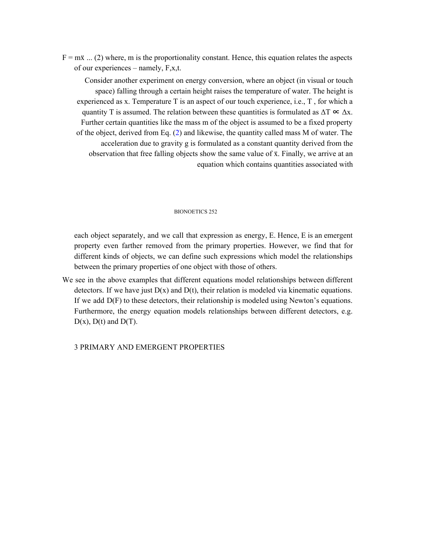$F = m\ddot{x}$  ... (2) where, m is the proportionality constant. Hence, this equation relates the aspects of our experiences – namely, F,x,t.

Consider another experiment on energy conversion, where an object (in visual or touch space) falling through a certain height raises the temperature of water. The height is experienced as x. Temperature T is an aspect of our touch experience, i.e., T , for which a quantity T is assumed. The relation between these quantities is formulated as  $\Delta T \propto \Delta x$ . Further certain quantities like the mass m of the object is assumed to be a fixed property of the object, derived from Eq. (2) and likewise, the quantity called mass M of water. The acceleration due to gravity g is formulated as a constant quantity derived from the observation that free falling objects show the same value of ẍ. Finally, we arrive at an equation which contains quantities associated with

## BIONOETICS 252

each object separately, and we call that expression as energy, E. Hence, E is an emergent property even farther removed from the primary properties. However, we find that for different kinds of objects, we can define such expressions which model the relationships between the primary properties of one object with those of others.

We see in the above examples that different equations model relationships between different detectors. If we have just  $D(x)$  and  $D(t)$ , their relation is modeled via kinematic equations. If we add D(F) to these detectors, their relationship is modeled using Newton's equations. Furthermore, the energy equation models relationships between different detectors, e.g.  $D(x)$ ,  $D(t)$  and  $D(T)$ .

3 PRIMARY AND EMERGENT PROPERTIES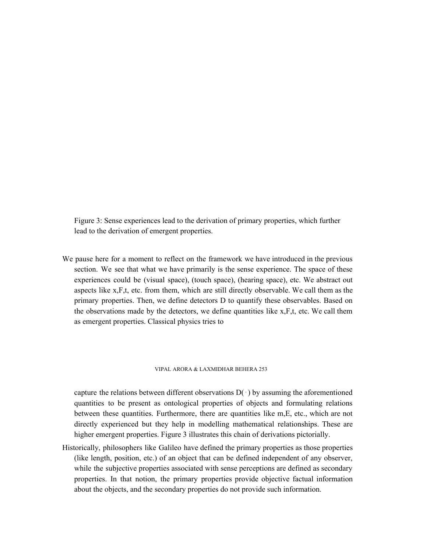Figure 3: Sense experiences lead to the derivation of primary properties, which further lead to the derivation of emergent properties.

We pause here for a moment to reflect on the framework we have introduced in the previous section. We see that what we have primarily is the sense experience. The space of these experiences could be (visual space), (touch space), (hearing space), etc. We abstract out aspects like x,F,t, etc. from them, which are still directly observable. We call them as the primary properties. Then, we define detectors D to quantify these observables. Based on the observations made by the detectors, we define quantities like  $x, F, t$ , etc. We call them as emergent properties. Classical physics tries to

## VIPAL ARORA & LAXMIDHAR BEHERA 253

capture the relations between different observations  $D(·)$  by assuming the aforementioned quantities to be present as ontological properties of objects and formulating relations between these quantities. Furthermore, there are quantities like m,E, etc., which are not directly experienced but they help in modelling mathematical relationships. These are higher emergent properties. Figure 3 illustrates this chain of derivations pictorially.

Historically, philosophers like Galileo have defined the primary properties as those properties (like length, position, etc.) of an object that can be defined independent of any observer, while the subjective properties associated with sense perceptions are defined as secondary properties. In that notion, the primary properties provide objective factual information about the objects, and the secondary properties do not provide such information.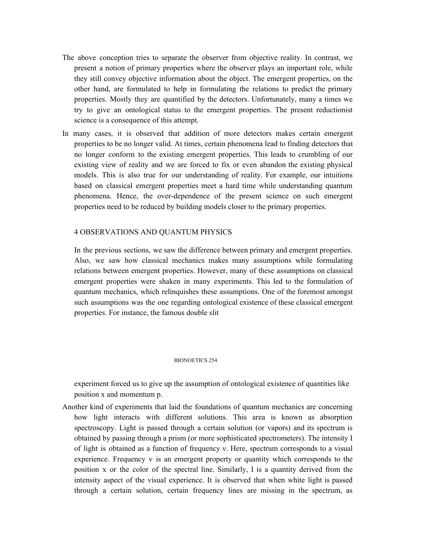- The above conception tries to separate the observer from objective reality. In contrast, we present a notion of primary properties where the observer plays an important role, while they still convey objective information about the object. The emergent properties, on the other hand, are formulated to help in formulating the relations to predict the primary properties. Mostly they are quantified by the detectors. Unfortunately, many a times we try to give an ontological status to the emergent properties. The present reductionist science is a consequence of this attempt.
- In many cases, it is observed that addition of more detectors makes certain emergent properties to be no longer valid. At times, certain phenomena lead to finding detectors that no longer conform to the existing emergent properties. This leads to crumbling of our existing view of reality and we are forced to fix or even abandon the existing physical models. This is also true for our understanding of reality. For example, our intuitions based on classical emergent properties meet a hard time while understanding quantum phenomena. Hence, the over-dependence of the present science on such emergent properties need to be reduced by building models closer to the primary properties.

## 4 OBSERVATIONS AND QUANTUM PHYSICS

In the previous sections, we saw the difference between primary and emergent properties. Also, we saw how classical mechanics makes many assumptions while formulating relations between emergent properties. However, many of these assumptions on classical emergent properties were shaken in many experiments. This led to the formulation of quantum mechanics, which relinquishes these assumptions. One of the foremost amongst such assumptions was the one regarding ontological existence of these classical emergent properties. For instance, the famous double slit

## BIONOETICS 254

experiment forced us to give up the assumption of ontological existence of quantities like position x and momentum p.

Another kind of experiments that laid the foundations of quantum mechanics are concerning how light interacts with different solutions. This area is known as absorption spectroscopy. Light is passed through a certain solution (or vapors) and its spectrum is obtained by passing through a prism (or more sophisticated spectrometers). The intensity I of light is obtained as a function of frequency ν. Here, spectrum corresponds to a visual experience. Frequency ν is an emergent property or quantity which corresponds to the position x or the color of the spectral line. Similarly, I is a quantity derived from the intensity aspect of the visual experience. It is observed that when white light is passed through a certain solution, certain frequency lines are missing in the spectrum, as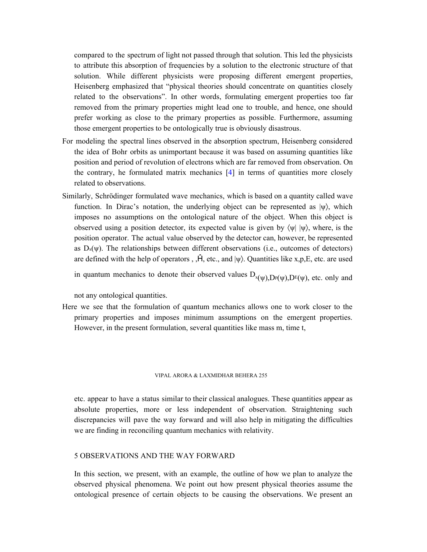compared to the spectrum of light not passed through that solution. This led the physicists to attribute this absorption of frequencies by a solution to the electronic structure of that solution. While different physicists were proposing different emergent properties, Heisenberg emphasized that "physical theories should concentrate on quantities closely related to the observations". In other words, formulating emergent properties too far removed from the primary properties might lead one to trouble, and hence, one should prefer working as close to the primary properties as possible. Furthermore, assuming those emergent properties to be ontologically true is obviously disastrous.

- For modeling the spectral lines observed in the absorption spectrum, Heisenberg considered the idea of Bohr orbits as unimportant because it was based on assuming quantities like position and period of revolution of electrons which are far removed from observation. On the contrary, he formulated matrix mechanics [4] in terms of quantities more closely related to observations.
- Similarly, Schrödinger formulated wave mechanics, which is based on a quantity called wave function. In Dirac's notation, the underlying object can be represented as  $|\psi\rangle$ , which imposes no assumptions on the ontological nature of the object. When this object is observed using a position detector, its expected value is given by  $\langle \psi | \psi \rangle$ , where, is the position operator. The actual value observed by the detector can, however, be represented as  $D_x(\psi)$ . The relationships between different observations (i.e., outcomes of detectors) are defined with the help of operators,  $, \hat{H}$ , etc., and  $|\psi\rangle$ . Quantities like x,p,E, etc. are used

in quantum mechanics to denote their observed values  $D_{x(\psi),D^p(\psi),D^p(\psi)}$ , etc. only and

not any ontological quantities.

Here we see that the formulation of quantum mechanics allows one to work closer to the primary properties and imposes minimum assumptions on the emergent properties. However, in the present formulation, several quantities like mass m, time t,

## VIPAL ARORA & LAXMIDHAR BEHERA 255

etc. appear to have a status similar to their classical analogues. These quantities appear as absolute properties, more or less independent of observation. Straightening such discrepancies will pave the way forward and will also help in mitigating the difficulties we are finding in reconciling quantum mechanics with relativity.

# 5 OBSERVATIONS AND THE WAY FORWARD

In this section, we present, with an example, the outline of how we plan to analyze the observed physical phenomena. We point out how present physical theories assume the ontological presence of certain objects to be causing the observations. We present an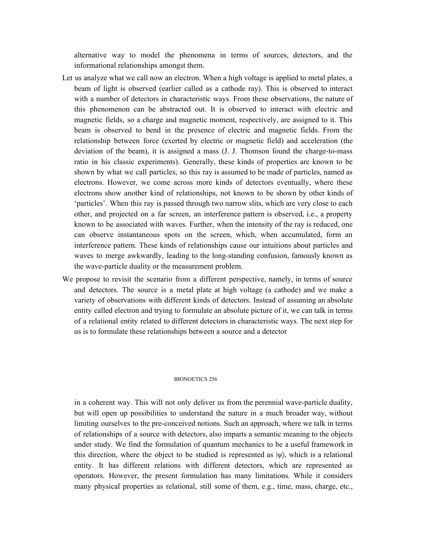alternative way to model the phenomena in terms of sources, detectors, and the informational relationships amongst them.

- Let us analyze what we call now an electron. When a high voltage is applied to metal plates, a beam of light is observed (earlier called as a cathode ray). This is observed to interact with a number of detectors in characteristic ways. From these observations, the nature of this phenomenon can be abstracted out. It is observed to interact with electric and magnetic fields, so a charge and magnetic moment, respectively, are assigned to it. This beam is observed to bend in the presence of electric and magnetic fields. From the relationship between force (exerted by electric or magnetic field) and acceleration (the deviation of the beam), it is assigned a mass (J. J. Thomson found the charge-to-mass ratio in his classic experiments). Generally, these kinds of properties are known to be shown by what we call particles, so this ray is assumed to be made of particles, named as electrons. However, we come across more kinds of detectors eventually, where these electrons show another kind of relationships, not known to be shown by other kinds of 'particles'. When this ray is passed through two narrow slits, which are very close to each other, and projected on a far screen, an interference pattern is observed, i.e., a property known to be associated with waves. Further, when the intensity of the ray is reduced, one can observe instantaneous spots on the screen, which, when accumulated, form an interference pattern. These kinds of relationships cause our intuitions about particles and waves to merge awkwardly, leading to the long-standing confusion, famously known as the wave-particle duality or the measurement problem.
- We propose to revisit the scenario from a different perspective, namely, in terms of source and detectors. The source is a metal plate at high voltage (a cathode) and we make a variety of observations with different kinds of detectors. Instead of assuming an absolute entity called electron and trying to formulate an absolute picture of it, we can talk in terms of a relational entity related to different detectors in characteristic ways. The next step for us is to formulate these relationships between a source and a detector

#### BIONOETICS 256

in a coherent way. This will not only deliver us from the perennial wave-particle duality, but will open up possibilities to understand the nature in a much broader way, without limiting ourselves to the pre-conceived notions. Such an approach, where we talk in terms of relationships of a source with detectors, also imparts a semantic meaning to the objects under study. We find the formulation of quantum mechanics to be a useful framework in this direction, where the object to be studied is represented as  $|\psi\rangle$ , which is a relational entity. It has different relations with different detectors, which are represented as operators. However, the present formulation has many limitations. While it considers many physical properties as relational, still some of them, e.g., time, mass, charge, etc.,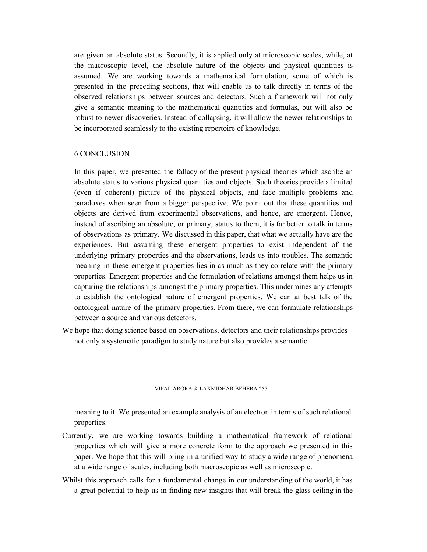are given an absolute status. Secondly, it is applied only at microscopic scales, while, at the macroscopic level, the absolute nature of the objects and physical quantities is assumed. We are working towards a mathematical formulation, some of which is presented in the preceding sections, that will enable us to talk directly in terms of the observed relationships between sources and detectors. Such a framework will not only give a semantic meaning to the mathematical quantities and formulas, but will also be robust to newer discoveries. Instead of collapsing, it will allow the newer relationships to be incorporated seamlessly to the existing repertoire of knowledge.

# 6 CONCLUSION

In this paper, we presented the fallacy of the present physical theories which ascribe an absolute status to various physical quantities and objects. Such theories provide a limited (even if coherent) picture of the physical objects, and face multiple problems and paradoxes when seen from a bigger perspective. We point out that these quantities and objects are derived from experimental observations, and hence, are emergent. Hence, instead of ascribing an absolute, or primary, status to them, it is far better to talk in terms of observations as primary. We discussed in this paper, that what we actually have are the experiences. But assuming these emergent properties to exist independent of the underlying primary properties and the observations, leads us into troubles. The semantic meaning in these emergent properties lies in as much as they correlate with the primary properties. Emergent properties and the formulation of relations amongst them helps us in capturing the relationships amongst the primary properties. This undermines any attempts to establish the ontological nature of emergent properties. We can at best talk of the ontological nature of the primary properties. From there, we can formulate relationships between a source and various detectors.

We hope that doing science based on observations, detectors and their relationships provides not only a systematic paradigm to study nature but also provides a semantic

#### VIPAL ARORA & LAXMIDHAR BEHERA 257

meaning to it. We presented an example analysis of an electron in terms of such relational properties.

- Currently, we are working towards building a mathematical framework of relational properties which will give a more concrete form to the approach we presented in this paper. We hope that this will bring in a unified way to study a wide range of phenomena at a wide range of scales, including both macroscopic as well as microscopic.
- Whilst this approach calls for a fundamental change in our understanding of the world, it has a great potential to help us in finding new insights that will break the glass ceiling in the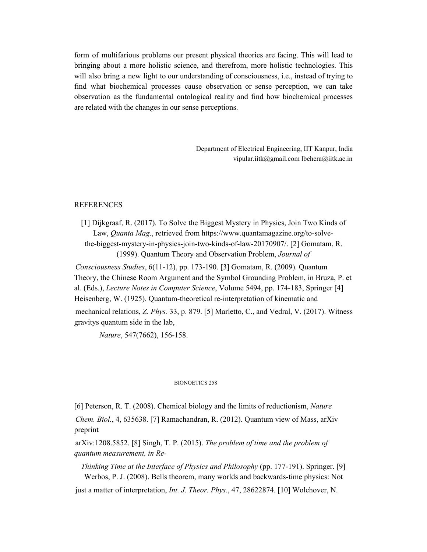form of multifarious problems our present physical theories are facing. This will lead to bringing about a more holistic science, and therefrom, more holistic technologies. This will also bring a new light to our understanding of consciousness, i.e., instead of trying to find what biochemical processes cause observation or sense perception, we can take observation as the fundamental ontological reality and find how biochemical processes are related with the changes in our sense perceptions.

> Department of Electrical Engineering, IIT Kanpur, India vipular.iitk@gmail.com lbehera@iitk.ac.in

## REFERENCES

[1] Dijkgraaf, R. (2017). To Solve the Biggest Mystery in Physics, Join Two Kinds of Law, *Quanta Mag*., retrieved from https://www.quantamagazine.org/to-solvethe-biggest-mystery-in-physics-join-two-kinds-of-law-20170907/. [2] Gomatam, R. (1999). Quantum Theory and Observation Problem, *Journal of*

*Consciousness Studies*, 6(11-12), pp. 173-190. [3] Gomatam, R. (2009). Quantum Theory, the Chinese Room Argument and the Symbol Grounding Problem, in Bruza, P. et al. (Eds.), *Lecture Notes in Computer Science*, Volume 5494, pp. 174-183, Springer [4] Heisenberg, W. (1925). Quantum-theoretical re-interpretation of kinematic and

mechanical relations, *Z. Phys.* 33, p. 879. [5] Marletto, C., and Vedral, V. (2017). Witness gravitys quantum side in the lab,

*Nature*, 547(7662), 156-158.

## BIONOETICS 258

[6] Peterson, R. T. (2008). Chemical biology and the limits of reductionism, *Nature Chem. Biol.*, 4, 635638. [7] Ramachandran, R. (2012). Quantum view of Mass, arXiv preprint

arXiv:1208.5852. [8] Singh, T. P. (2015). *The problem of time and the problem of quantum measurement, in Re-*

*Thinking Time at the Interface of Physics and Philosophy* (pp. 177-191). Springer. [9] Werbos, P. J. (2008). Bells theorem, many worlds and backwards-time physics: Not

just a matter of interpretation, *Int. J. Theor. Phys.*, 47, 28622874. [10] Wolchover, N.